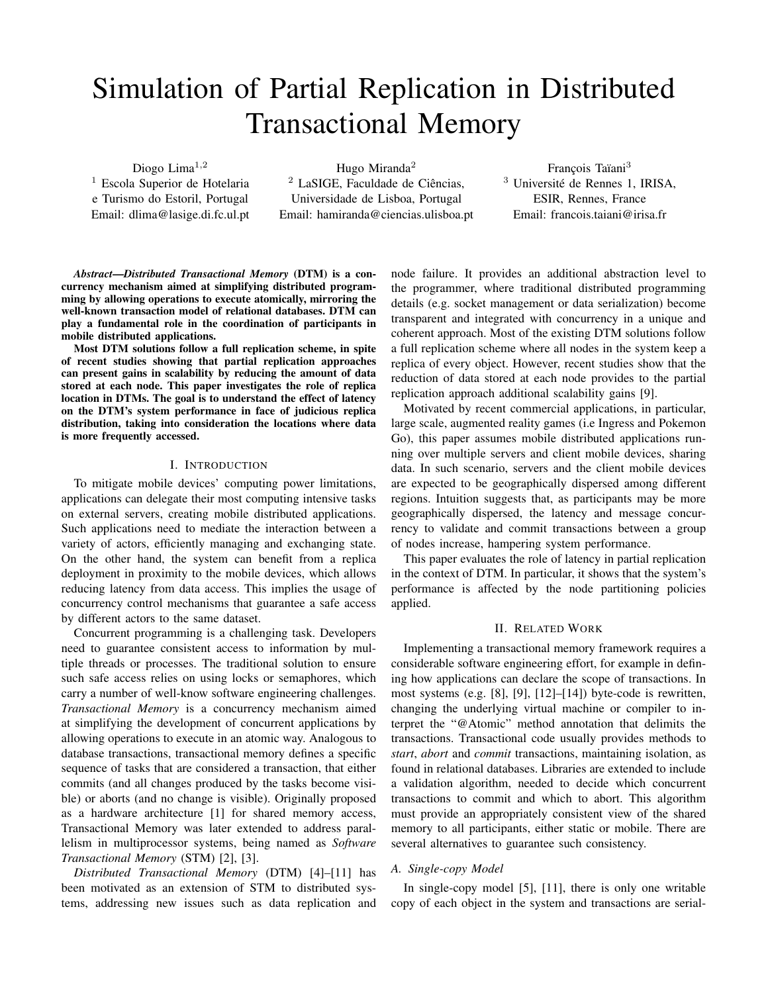# Simulation of Partial Replication in Distributed Transactional Memory

Diogo Lima<sup>1,2</sup>

<sup>1</sup> Escola Superior de Hotelaria e Turismo do Estoril, Portugal Email: dlima@lasige.di.fc.ul.pt

Hugo Miranda<sup>2</sup> <sup>2</sup> LaSIGE, Faculdade de Ciências, Universidade de Lisboa, Portugal Email: hamiranda@ciencias.ulisboa.pt

François Taïani<sup>3</sup> <sup>3</sup> Université de Rennes 1, IRISA, ESIR, Rennes, France Email: francois.taiani@irisa.fr

*Abstract*—*Distributed Transactional Memory* (DTM) is a concurrency mechanism aimed at simplifying distributed programming by allowing operations to execute atomically, mirroring the well-known transaction model of relational databases. DTM can play a fundamental role in the coordination of participants in mobile distributed applications.

Most DTM solutions follow a full replication scheme, in spite of recent studies showing that partial replication approaches can present gains in scalability by reducing the amount of data stored at each node. This paper investigates the role of replica location in DTMs. The goal is to understand the effect of latency on the DTM's system performance in face of judicious replica distribution, taking into consideration the locations where data is more frequently accessed.

## I. INTRODUCTION

To mitigate mobile devices' computing power limitations, applications can delegate their most computing intensive tasks on external servers, creating mobile distributed applications. Such applications need to mediate the interaction between a variety of actors, efficiently managing and exchanging state. On the other hand, the system can benefit from a replica deployment in proximity to the mobile devices, which allows reducing latency from data access. This implies the usage of concurrency control mechanisms that guarantee a safe access by different actors to the same dataset.

Concurrent programming is a challenging task. Developers need to guarantee consistent access to information by multiple threads or processes. The traditional solution to ensure such safe access relies on using locks or semaphores, which carry a number of well-know software engineering challenges. *Transactional Memory* is a concurrency mechanism aimed at simplifying the development of concurrent applications by allowing operations to execute in an atomic way. Analogous to database transactions, transactional memory defines a specific sequence of tasks that are considered a transaction, that either commits (and all changes produced by the tasks become visible) or aborts (and no change is visible). Originally proposed as a hardware architecture [1] for shared memory access, Transactional Memory was later extended to address parallelism in multiprocessor systems, being named as *Software Transactional Memory* (STM) [2], [3].

*Distributed Transactional Memory* (DTM) [4]–[11] has been motivated as an extension of STM to distributed systems, addressing new issues such as data replication and node failure. It provides an additional abstraction level to the programmer, where traditional distributed programming details (e.g. socket management or data serialization) become transparent and integrated with concurrency in a unique and coherent approach. Most of the existing DTM solutions follow a full replication scheme where all nodes in the system keep a replica of every object. However, recent studies show that the reduction of data stored at each node provides to the partial replication approach additional scalability gains [9].

Motivated by recent commercial applications, in particular, large scale, augmented reality games (i.e Ingress and Pokemon Go), this paper assumes mobile distributed applications running over multiple servers and client mobile devices, sharing data. In such scenario, servers and the client mobile devices are expected to be geographically dispersed among different regions. Intuition suggests that, as participants may be more geographically dispersed, the latency and message concurrency to validate and commit transactions between a group of nodes increase, hampering system performance.

This paper evaluates the role of latency in partial replication in the context of DTM. In particular, it shows that the system's performance is affected by the node partitioning policies applied.

#### II. RELATED WORK

Implementing a transactional memory framework requires a considerable software engineering effort, for example in defining how applications can declare the scope of transactions. In most systems (e.g. [8], [9], [12]–[14]) byte-code is rewritten, changing the underlying virtual machine or compiler to interpret the "@Atomic" method annotation that delimits the transactions. Transactional code usually provides methods to *start*, *abort* and *commit* transactions, maintaining isolation, as found in relational databases. Libraries are extended to include a validation algorithm, needed to decide which concurrent transactions to commit and which to abort. This algorithm must provide an appropriately consistent view of the shared memory to all participants, either static or mobile. There are several alternatives to guarantee such consistency.

## *A. Single-copy Model*

In single-copy model [5], [11], there is only one writable copy of each object in the system and transactions are serial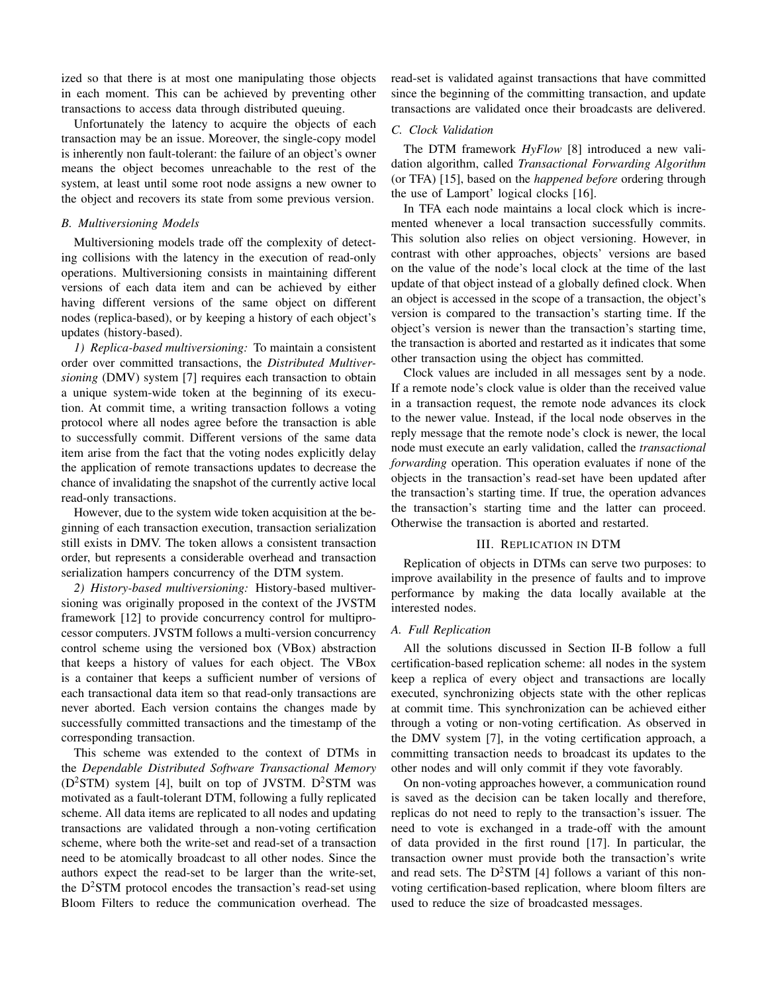ized so that there is at most one manipulating those objects in each moment. This can be achieved by preventing other transactions to access data through distributed queuing.

Unfortunately the latency to acquire the objects of each transaction may be an issue. Moreover, the single-copy model is inherently non fault-tolerant: the failure of an object's owner means the object becomes unreachable to the rest of the system, at least until some root node assigns a new owner to the object and recovers its state from some previous version.

#### *B. Multiversioning Models*

Multiversioning models trade off the complexity of detecting collisions with the latency in the execution of read-only operations. Multiversioning consists in maintaining different versions of each data item and can be achieved by either having different versions of the same object on different nodes (replica-based), or by keeping a history of each object's updates (history-based).

*1) Replica-based multiversioning:* To maintain a consistent order over committed transactions, the *Distributed Multiversioning* (DMV) system [7] requires each transaction to obtain a unique system-wide token at the beginning of its execution. At commit time, a writing transaction follows a voting protocol where all nodes agree before the transaction is able to successfully commit. Different versions of the same data item arise from the fact that the voting nodes explicitly delay the application of remote transactions updates to decrease the chance of invalidating the snapshot of the currently active local read-only transactions.

However, due to the system wide token acquisition at the beginning of each transaction execution, transaction serialization still exists in DMV. The token allows a consistent transaction order, but represents a considerable overhead and transaction serialization hampers concurrency of the DTM system.

*2) History-based multiversioning:* History-based multiversioning was originally proposed in the context of the JVSTM framework [12] to provide concurrency control for multiprocessor computers. JVSTM follows a multi-version concurrency control scheme using the versioned box (VBox) abstraction that keeps a history of values for each object. The VBox is a container that keeps a sufficient number of versions of each transactional data item so that read-only transactions are never aborted. Each version contains the changes made by successfully committed transactions and the timestamp of the corresponding transaction.

This scheme was extended to the context of DTMs in the *Dependable Distributed Software Transactional Memory*  $(D<sup>2</sup>STM)$  system [4], built on top of JVSTM. D<sup>2</sup>STM was motivated as a fault-tolerant DTM, following a fully replicated scheme. All data items are replicated to all nodes and updating transactions are validated through a non-voting certification scheme, where both the write-set and read-set of a transaction need to be atomically broadcast to all other nodes. Since the authors expect the read-set to be larger than the write-set, the  $D^2STM$  protocol encodes the transaction's read-set using Bloom Filters to reduce the communication overhead. The read-set is validated against transactions that have committed since the beginning of the committing transaction, and update transactions are validated once their broadcasts are delivered.

# *C. Clock Validation*

The DTM framework *HyFlow* [8] introduced a new validation algorithm, called *Transactional Forwarding Algorithm* (or TFA) [15], based on the *happened before* ordering through the use of Lamport' logical clocks [16].

In TFA each node maintains a local clock which is incremented whenever a local transaction successfully commits. This solution also relies on object versioning. However, in contrast with other approaches, objects' versions are based on the value of the node's local clock at the time of the last update of that object instead of a globally defined clock. When an object is accessed in the scope of a transaction, the object's version is compared to the transaction's starting time. If the object's version is newer than the transaction's starting time, the transaction is aborted and restarted as it indicates that some other transaction using the object has committed.

Clock values are included in all messages sent by a node. If a remote node's clock value is older than the received value in a transaction request, the remote node advances its clock to the newer value. Instead, if the local node observes in the reply message that the remote node's clock is newer, the local node must execute an early validation, called the *transactional forwarding* operation. This operation evaluates if none of the objects in the transaction's read-set have been updated after the transaction's starting time. If true, the operation advances the transaction's starting time and the latter can proceed. Otherwise the transaction is aborted and restarted.

## III. REPLICATION IN DTM

Replication of objects in DTMs can serve two purposes: to improve availability in the presence of faults and to improve performance by making the data locally available at the interested nodes.

#### *A. Full Replication*

All the solutions discussed in Section II-B follow a full certification-based replication scheme: all nodes in the system keep a replica of every object and transactions are locally executed, synchronizing objects state with the other replicas at commit time. This synchronization can be achieved either through a voting or non-voting certification. As observed in the DMV system [7], in the voting certification approach, a committing transaction needs to broadcast its updates to the other nodes and will only commit if they vote favorably.

On non-voting approaches however, a communication round is saved as the decision can be taken locally and therefore, replicas do not need to reply to the transaction's issuer. The need to vote is exchanged in a trade-off with the amount of data provided in the first round [17]. In particular, the transaction owner must provide both the transaction's write and read sets. The D<sup>2</sup>STM [4] follows a variant of this nonvoting certification-based replication, where bloom filters are used to reduce the size of broadcasted messages.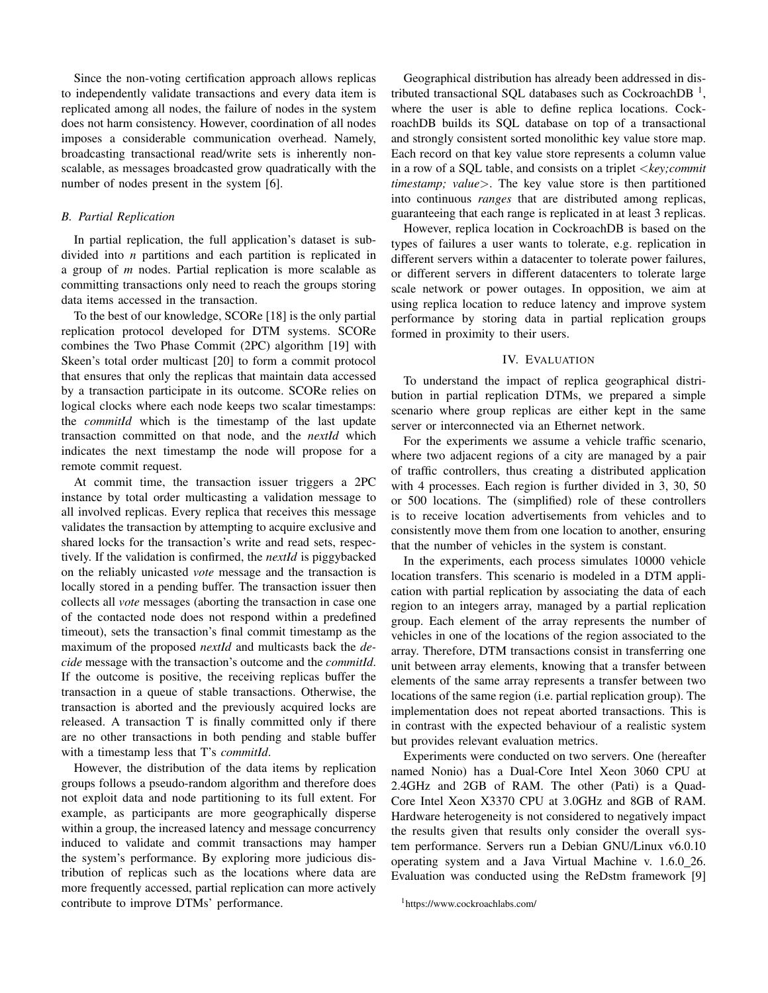Since the non-voting certification approach allows replicas to independently validate transactions and every data item is replicated among all nodes, the failure of nodes in the system does not harm consistency. However, coordination of all nodes imposes a considerable communication overhead. Namely, broadcasting transactional read/write sets is inherently nonscalable, as messages broadcasted grow quadratically with the number of nodes present in the system [6].

#### *B. Partial Replication*

In partial replication, the full application's dataset is subdivided into *n* partitions and each partition is replicated in a group of *m* nodes. Partial replication is more scalable as committing transactions only need to reach the groups storing data items accessed in the transaction.

To the best of our knowledge, SCORe [18] is the only partial replication protocol developed for DTM systems. SCORe combines the Two Phase Commit (2PC) algorithm [19] with Skeen's total order multicast [20] to form a commit protocol that ensures that only the replicas that maintain data accessed by a transaction participate in its outcome. SCORe relies on logical clocks where each node keeps two scalar timestamps: the *commitId* which is the timestamp of the last update transaction committed on that node, and the *nextId* which indicates the next timestamp the node will propose for a remote commit request.

At commit time, the transaction issuer triggers a 2PC instance by total order multicasting a validation message to all involved replicas. Every replica that receives this message validates the transaction by attempting to acquire exclusive and shared locks for the transaction's write and read sets, respectively. If the validation is confirmed, the *nextId* is piggybacked on the reliably unicasted *vote* message and the transaction is locally stored in a pending buffer. The transaction issuer then collects all *vote* messages (aborting the transaction in case one of the contacted node does not respond within a predefined timeout), sets the transaction's final commit timestamp as the maximum of the proposed *nextId* and multicasts back the *decide* message with the transaction's outcome and the *commitId*. If the outcome is positive, the receiving replicas buffer the transaction in a queue of stable transactions. Otherwise, the transaction is aborted and the previously acquired locks are released. A transaction T is finally committed only if there are no other transactions in both pending and stable buffer with a timestamp less that T's *commitId*.

However, the distribution of the data items by replication groups follows a pseudo-random algorithm and therefore does not exploit data and node partitioning to its full extent. For example, as participants are more geographically disperse within a group, the increased latency and message concurrency induced to validate and commit transactions may hamper the system's performance. By exploring more judicious distribution of replicas such as the locations where data are more frequently accessed, partial replication can more actively contribute to improve DTMs' performance.

Geographical distribution has already been addressed in distributed transactional SQL databases such as CockroachDB  $<sup>1</sup>$ ,</sup> where the user is able to define replica locations. CockroachDB builds its SQL database on top of a transactional and strongly consistent sorted monolithic key value store map. Each record on that key value store represents a column value in a row of a SQL table, and consists on a triplet <*key;commit timestamp; value* >. The key value store is then partitioned into continuous *ranges* that are distributed among replicas, guaranteeing that each range is replicated in at least 3 replicas.

However, replica location in CockroachDB is based on the types of failures a user wants to tolerate, e.g. replication in different servers within a datacenter to tolerate power failures, or different servers in different datacenters to tolerate large scale network or power outages. In opposition, we aim at using replica location to reduce latency and improve system performance by storing data in partial replication groups formed in proximity to their users.

## IV. EVALUATION

To understand the impact of replica geographical distribution in partial replication DTMs, we prepared a simple scenario where group replicas are either kept in the same server or interconnected via an Ethernet network.

For the experiments we assume a vehicle traffic scenario, where two adjacent regions of a city are managed by a pair of traffic controllers, thus creating a distributed application with 4 processes. Each region is further divided in 3, 30, 50 or 500 locations. The (simplified) role of these controllers is to receive location advertisements from vehicles and to consistently move them from one location to another, ensuring that the number of vehicles in the system is constant.

In the experiments, each process simulates 10000 vehicle location transfers. This scenario is modeled in a DTM application with partial replication by associating the data of each region to an integers array, managed by a partial replication group. Each element of the array represents the number of vehicles in one of the locations of the region associated to the array. Therefore, DTM transactions consist in transferring one unit between array elements, knowing that a transfer between elements of the same array represents a transfer between two locations of the same region (i.e. partial replication group). The implementation does not repeat aborted transactions. This is in contrast with the expected behaviour of a realistic system but provides relevant evaluation metrics.

Experiments were conducted on two servers. One (hereafter named Nonio) has a Dual-Core Intel Xeon 3060 CPU at 2.4GHz and 2GB of RAM. The other (Pati) is a Quad-Core Intel Xeon X3370 CPU at 3.0GHz and 8GB of RAM. Hardware heterogeneity is not considered to negatively impact the results given that results only consider the overall system performance. Servers run a Debian GNU/Linux v6.0.10 operating system and a Java Virtual Machine v. 1.6.0 26. Evaluation was conducted using the ReDstm framework [9]

<sup>1</sup>https://www.cockroachlabs.com/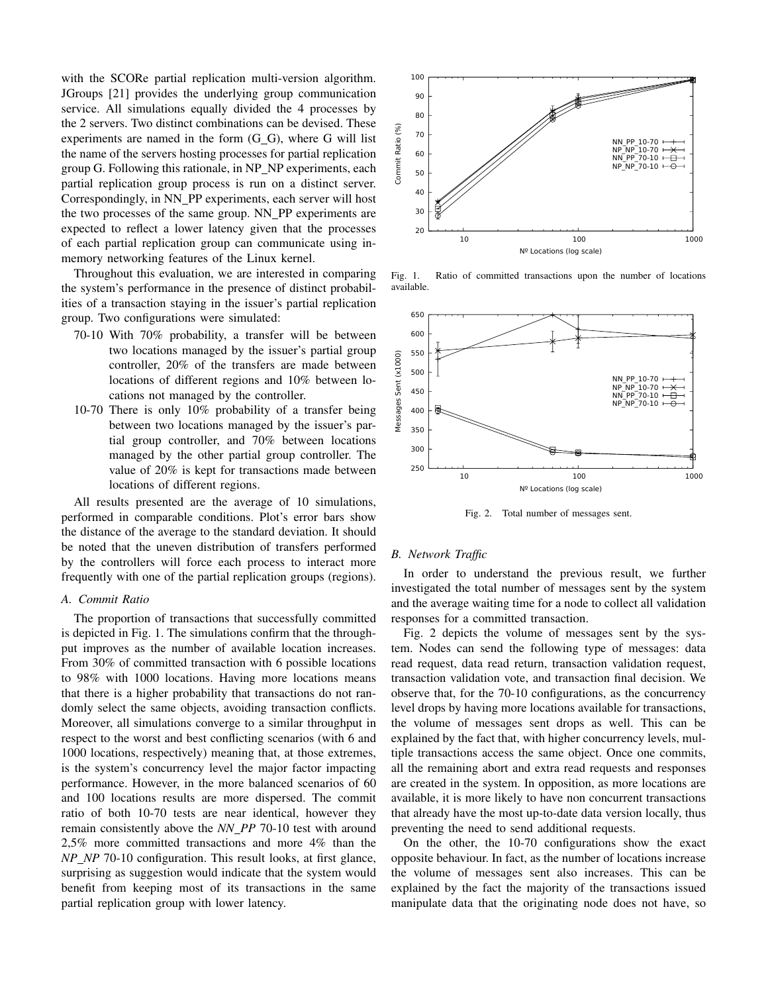with the SCORe partial replication multi-version algorithm. JGroups [21] provides the underlying group communication service. All simulations equally divided the 4 processes by the 2 servers. Two distinct combinations can be devised. These experiments are named in the form  $(G_G)$ , where G will list the name of the servers hosting processes for partial replication group G. Following this rationale, in NP\_NP experiments, each partial replication group process is run on a distinct server. Correspondingly, in NN PP experiments, each server will host the two processes of the same group. NN\_PP experiments are expected to reflect a lower latency given that the processes of each partial replication group can communicate using inmemory networking features of the Linux kernel.

Throughout this evaluation, we are interested in comparing the system's performance in the presence of distinct probabilities of a transaction staying in the issuer's partial replication group. Two configurations were simulated:

- 70-10 With 70% probability, a transfer will be between two locations managed by the issuer's partial group controller, 20% of the transfers are made between locations of different regions and 10% between locations not managed by the controller.
- 10-70 There is only 10% probability of a transfer being between two locations managed by the issuer's partial group controller, and 70% between locations managed by the other partial group controller. The value of 20% is kept for transactions made between locations of different regions.

All results presented are the average of 10 simulations, performed in comparable conditions. Plot's error bars show the distance of the average to the standard deviation. It should be noted that the uneven distribution of transfers performed by the controllers will force each process to interact more frequently with one of the partial replication groups (regions).

#### *A. Commit Ratio*

The proportion of transactions that successfully committed is depicted in Fig. 1. The simulations confirm that the throughput improves as the number of available location increases. From 30% of committed transaction with 6 possible locations to 98% with 1000 locations. Having more locations means that there is a higher probability that transactions do not randomly select the same objects, avoiding transaction conflicts. Moreover, all simulations converge to a similar throughput in respect to the worst and best conflicting scenarios (with 6 and 1000 locations, respectively) meaning that, at those extremes, is the system's concurrency level the major factor impacting performance. However, in the more balanced scenarios of 60 and 100 locations results are more dispersed. The commit ratio of both 10-70 tests are near identical, however they remain consistently above the *NN PP* 70-10 test with around 2,5% more committed transactions and more 4% than the *NP NP* 70-10 configuration. This result looks, at first glance, surprising as suggestion would indicate that the system would benefit from keeping most of its transactions in the same partial replication group with lower latency.



Fig. 1. Ratio of committed transactions upon the number of locations available.



Fig. 2. Total number of messages sent.

#### *B. Network Traffic*

In order to understand the previous result, we further investigated the total number of messages sent by the system and the average waiting time for a node to collect all validation responses for a committed transaction.

Fig. 2 depicts the volume of messages sent by the system. Nodes can send the following type of messages: data read request, data read return, transaction validation request, transaction validation vote, and transaction final decision. We observe that, for the 70-10 configurations, as the concurrency level drops by having more locations available for transactions, the volume of messages sent drops as well. This can be explained by the fact that, with higher concurrency levels, multiple transactions access the same object. Once one commits, all the remaining abort and extra read requests and responses are created in the system. In opposition, as more locations are available, it is more likely to have non concurrent transactions that already have the most up-to-date data version locally, thus preventing the need to send additional requests.

On the other, the 10-70 configurations show the exact opposite behaviour. In fact, as the number of locations increase the volume of messages sent also increases. This can be explained by the fact the majority of the transactions issued manipulate data that the originating node does not have, so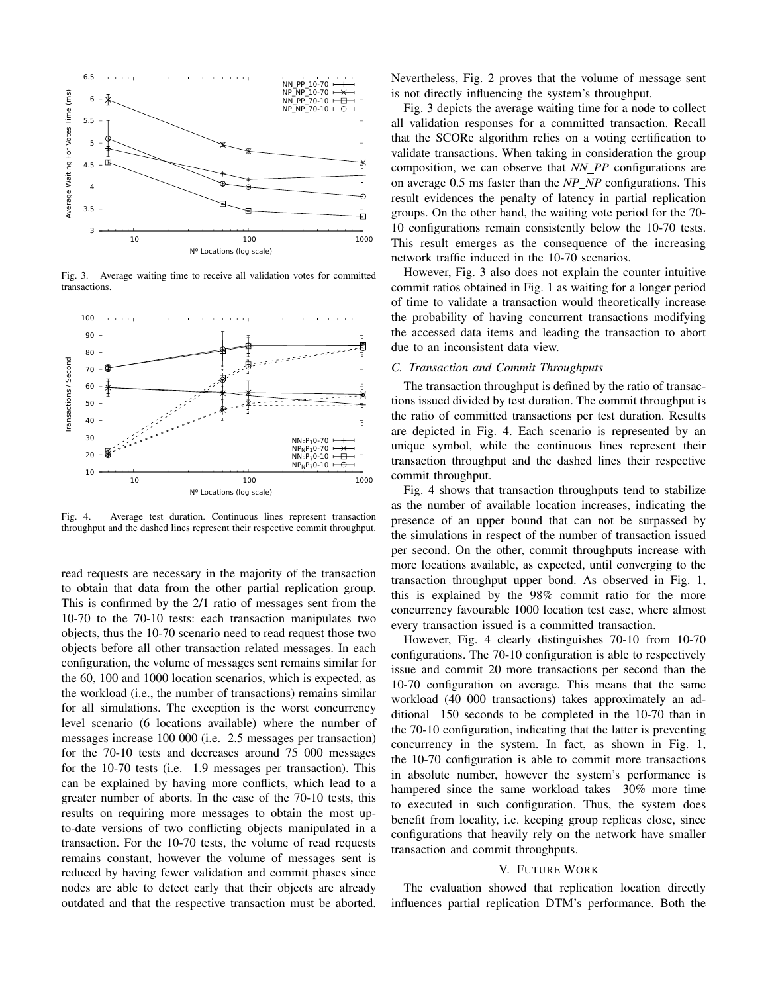

Fig. 3. Average waiting time to receive all validation votes for committed transactions.



Fig. 4. Average test duration. Continuous lines represent transaction throughput and the dashed lines represent their respective commit throughput.

read requests are necessary in the majority of the transaction to obtain that data from the other partial replication group. This is confirmed by the 2/1 ratio of messages sent from the 10-70 to the 70-10 tests: each transaction manipulates two objects, thus the 10-70 scenario need to read request those two objects before all other transaction related messages. In each configuration, the volume of messages sent remains similar for the 60, 100 and 1000 location scenarios, which is expected, as the workload (i.e., the number of transactions) remains similar for all simulations. The exception is the worst concurrency level scenario (6 locations available) where the number of messages increase 100 000 (i.e. 2.5 messages per transaction) for the 70-10 tests and decreases around 75 000 messages for the 10-70 tests (i.e. 1.9 messages per transaction). This can be explained by having more conflicts, which lead to a greater number of aborts. In the case of the 70-10 tests, this results on requiring more messages to obtain the most upto-date versions of two conflicting objects manipulated in a transaction. For the 10-70 tests, the volume of read requests remains constant, however the volume of messages sent is reduced by having fewer validation and commit phases since nodes are able to detect early that their objects are already outdated and that the respective transaction must be aborted. Nevertheless, Fig. 2 proves that the volume of message sent is not directly influencing the system's throughput.

Fig. 3 depicts the average waiting time for a node to collect all validation responses for a committed transaction. Recall that the SCORe algorithm relies on a voting certification to validate transactions. When taking in consideration the group composition, we can observe that *NN PP* configurations are on average 0.5 ms faster than the *NP NP* configurations. This result evidences the penalty of latency in partial replication groups. On the other hand, the waiting vote period for the 70- 10 configurations remain consistently below the 10-70 tests. This result emerges as the consequence of the increasing network traffic induced in the 10-70 scenarios.

However, Fig. 3 also does not explain the counter intuitive commit ratios obtained in Fig. 1 as waiting for a longer period of time to validate a transaction would theoretically increase the probability of having concurrent transactions modifying the accessed data items and leading the transaction to abort due to an inconsistent data view.

## *C. Transaction and Commit Throughputs*

The transaction throughput is defined by the ratio of transactions issued divided by test duration. The commit throughput is the ratio of committed transactions per test duration. Results are depicted in Fig. 4. Each scenario is represented by an unique symbol, while the continuous lines represent their transaction throughput and the dashed lines their respective commit throughput.

Fig. 4 shows that transaction throughputs tend to stabilize as the number of available location increases, indicating the presence of an upper bound that can not be surpassed by the simulations in respect of the number of transaction issued per second. On the other, commit throughputs increase with more locations available, as expected, until converging to the transaction throughput upper bond. As observed in Fig. 1, this is explained by the 98% commit ratio for the more concurrency favourable 1000 location test case, where almost every transaction issued is a committed transaction.

However, Fig. 4 clearly distinguishes 70-10 from 10-70 configurations. The 70-10 configuration is able to respectively issue and commit 20 more transactions per second than the 10-70 configuration on average. This means that the same workload (40 000 transactions) takes approximately an additional 150 seconds to be completed in the 10-70 than in the 70-10 configuration, indicating that the latter is preventing concurrency in the system. In fact, as shown in Fig. 1, the 10-70 configuration is able to commit more transactions in absolute number, however the system's performance is hampered since the same workload takes 30% more time to executed in such configuration. Thus, the system does benefit from locality, i.e. keeping group replicas close, since configurations that heavily rely on the network have smaller transaction and commit throughputs.

## V. FUTURE WORK

The evaluation showed that replication location directly influences partial replication DTM's performance. Both the